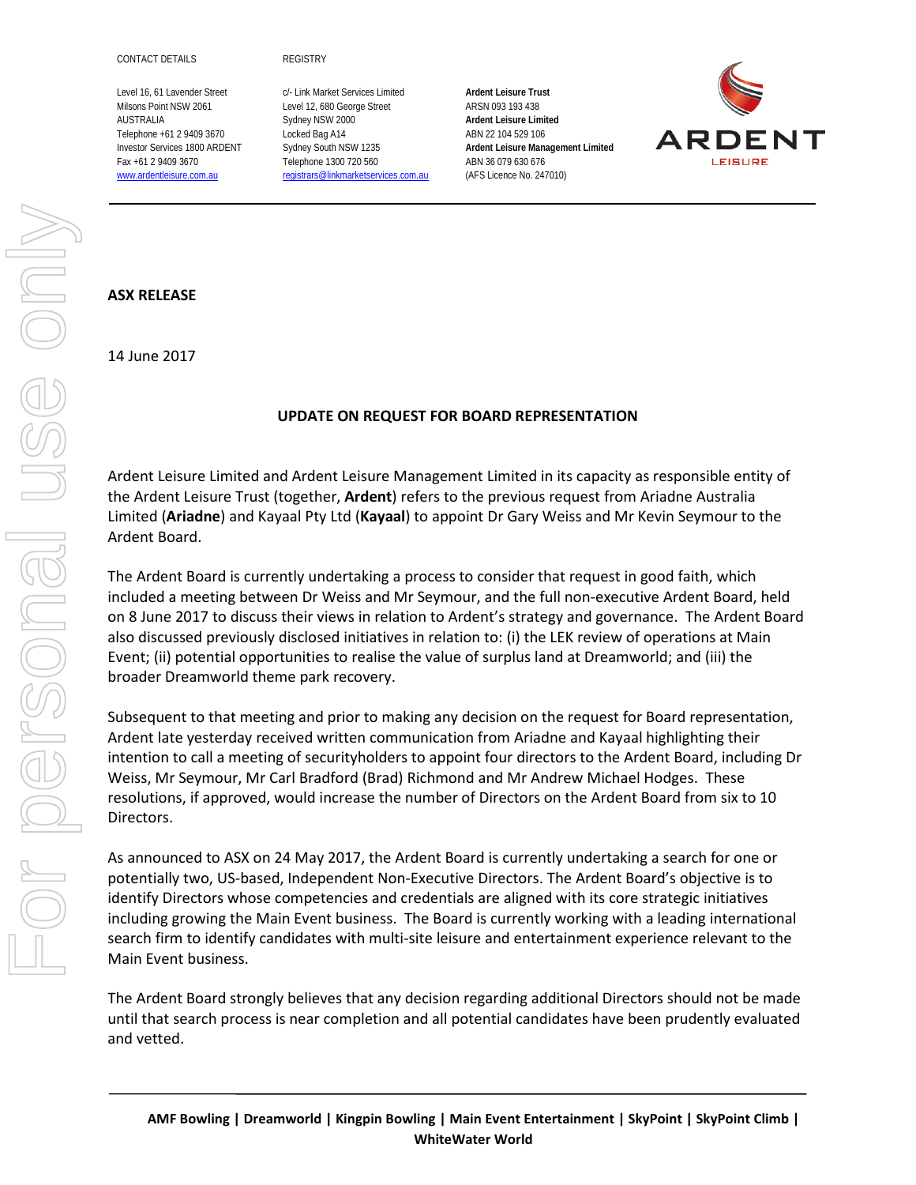Level 16, 61 Lavender Street c/- Link Market Services Limited **Ardent Leisure Trust** Milsons Point NSW 2061 Level 12, 680 George Street ARSN 093 193 438 AUSTRALIA Sydney NSW 2000 **Ardent Leisure Limited** Telephone +61 2 9409 3670 Locked Bag A14 ABN 22 104 529 106 Fax +61 2 9409 3670 Telephone 1300 720 560 ABN 36 079 630 676 [www.ardentleisure.com.au](http://www.ardentleisure.com.au/) [registrars@linkmarketservices.com.au](mailto:registrars@linkmarketservices.com.au) (AFS Licence No. 247010)

Investor Services 1800 ARDENT Sydney South NSW 1235 **Ardent Leisure Management Limited**



## **ASX RELEASE**

14 June 2017

## **UPDATE ON REQUEST FOR BOARD REPRESENTATION**

Ardent Leisure Limited and Ardent Leisure Management Limited in its capacity as responsible entity of the Ardent Leisure Trust (together, **Ardent**) refers to the previous request from Ariadne Australia Limited (**Ariadne**) and Kayaal Pty Ltd (**Kayaal**) to appoint Dr Gary Weiss and Mr Kevin Seymour to the Ardent Board.

The Ardent Board is currently undertaking a process to consider that request in good faith, which included a meeting between Dr Weiss and Mr Seymour, and the full non-executive Ardent Board, held on 8 June 2017 to discuss their views in relation to Ardent's strategy and governance. The Ardent Board also discussed previously disclosed initiatives in relation to: (i) the LEK review of operations at Main Event; (ii) potential opportunities to realise the value of surplus land at Dreamworld; and (iii) the broader Dreamworld theme park recovery.

Subsequent to that meeting and prior to making any decision on the request for Board representation, Ardent late yesterday received written communication from Ariadne and Kayaal highlighting their intention to call a meeting of securityholders to appoint four directors to the Ardent Board, including Dr Weiss, Mr Seymour, Mr Carl Bradford (Brad) Richmond and Mr Andrew Michael Hodges. These resolutions, if approved, would increase the number of Directors on the Ardent Board from six to 10 Directors.

As announced to ASX on 24 May 2017, the Ardent Board is currently undertaking a search for one or potentially two, US-based, Independent Non-Executive Directors. The Ardent Board's objective is to identify Directors whose competencies and credentials are aligned with its core strategic initiatives including growing the Main Event business. The Board is currently working with a leading international search firm to identify candidates with multi-site leisure and entertainment experience relevant to the Main Event business.

The Ardent Board strongly believes that any decision regarding additional Directors should not be made until that search process is near completion and all potential candidates have been prudently evaluated and vetted.